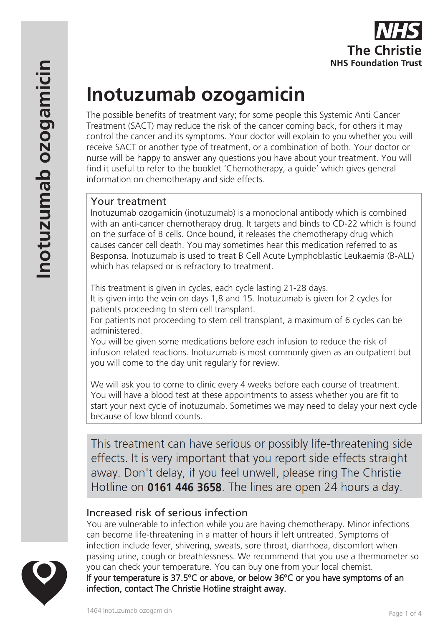

# **Inotuzumab ozogamicin**

The possible benefits of treatment vary; for some people this Systemic Anti Cancer Treatment (SACT) may reduce the risk of the cancer coming back, for others it may control the cancer and its symptoms. Your doctor will explain to you whether you will receive SACT or another type of treatment, or a combination of both. Your doctor or nurse will be happy to answer any questions you have about your treatment. You will find it useful to refer to the booklet 'Chemotherapy, a guide' which gives general information on chemotherapy and side effects.

## Your treatment

Inotuzumab ozogamicin (inotuzumab) is a monoclonal antibody which is combined with an anti-cancer chemotherapy drug. It targets and binds to CD-22 which is found on the surface of B cells. Once bound, it releases the chemotherapy drug which causes cancer cell death. You may sometimes hear this medication referred to as Besponsa. Inotuzumab is used to treat B Cell Acute Lymphoblastic Leukaemia (B-ALL) which has relapsed or is refractory to treatment.

This treatment is given in cycles, each cycle lasting 21-28 days. It is given into the vein on days 1,8 and 15. Inotuzumab is given for 2 cycles for patients proceeding to stem cell transplant.

For patients not proceeding to stem cell transplant, a maximum of 6 cycles can be administered.

You will be given some medications before each infusion to reduce the risk of infusion related reactions. Inotuzumab is most commonly given as an outpatient but you will come to the day unit regularly for review.

We will ask you to come to clinic every 4 weeks before each course of treatment. You will have a blood test at these appointments to assess whether you are fit to start your next cycle of inotuzumab. Sometimes we may need to delay your next cycle because of low blood counts.

This treatment can have serious or possibly life-threatening side effects. It is very important that you report side effects straight away. Don't delay, if you feel unwell, please ring The Christie Hotline on 0161 446 3658. The lines are open 24 hours a day.

## Increased risk of serious infection

You are vulnerable to infection while you are having chemotherapy. Minor infections can become life-threatening in a matter of hours if left untreated. Symptoms of infection include fever, shivering, sweats, sore throat, diarrhoea, discomfort when passing urine, cough or breathlessness. We recommend that you use a thermometer so you can check your temperature. You can buy one from your local chemist. If your temperature is 37.5ºC or above, or below 36ºC or you have symptoms of an infection, contact The Christie Hotline straight away.

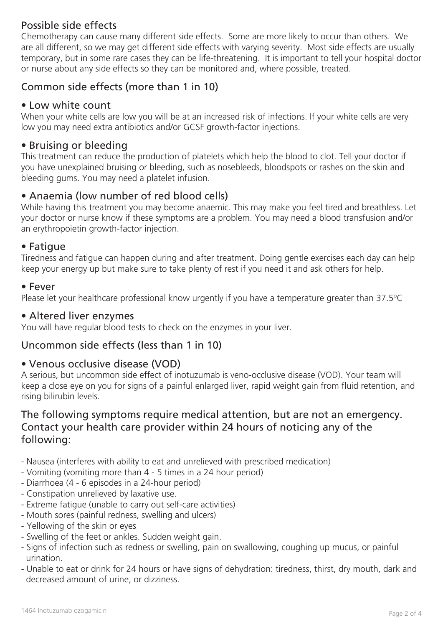# Possible side effects

Chemotherapy can cause many different side effects. Some are more likely to occur than others. We are all different, so we may get different side effects with varying severity. Most side effects are usually temporary, but in some rare cases they can be life-threatening. It is important to tell your hospital doctor or nurse about any side effects so they can be monitored and, where possible, treated.

# Common side effects (more than 1 in 10)

## • Low white count

When your white cells are low you will be at an increased risk of infections. If your white cells are very low you may need extra antibiotics and/or GCSF growth-factor injections.

## • Bruising or bleeding

This treatment can reduce the production of platelets which help the blood to clot. Tell your doctor if you have unexplained bruising or bleeding, such as nosebleeds, bloodspots or rashes on the skin and bleeding gums. You may need a platelet infusion.

## • Anaemia (low number of red blood cells)

While having this treatment you may become anaemic. This may make you feel tired and breathless. Let your doctor or nurse know if these symptoms are a problem. You may need a blood transfusion and/or an erythropoietin growth-factor injection.

#### • Fatigue

Tiredness and fatigue can happen during and after treatment. Doing gentle exercises each day can help keep your energy up but make sure to take plenty of rest if you need it and ask others for help.

#### • Fever

Please let your healthcare professional know urgently if you have a temperature greater than 37.5ºC

#### • Altered liver enzymes

You will have regular blood tests to check on the enzymes in your liver.

### Uncommon side effects (less than 1 in 10)

### • Venous occlusive disease (VOD)

A serious, but uncommon side effect of inotuzumab is veno-occlusive disease (VOD). Your team will keep a close eye on you for signs of a painful enlarged liver, rapid weight gain from fluid retention, and rising bilirubin levels.

## The following symptoms require medical attention, but are not an emergency. Contact your health care provider within 24 hours of noticing any of the following:

- Nausea (interferes with ability to eat and unrelieved with prescribed medication)
- Vomiting (vomiting more than 4 5 times in a 24 hour period)
- Diarrhoea (4 6 episodes in a 24-hour period)
- Constipation unrelieved by laxative use.
- Extreme fatigue (unable to carry out self-care activities)
- Mouth sores (painful redness, swelling and ulcers)
- Yellowing of the skin or eyes
- Swelling of the feet or ankles. Sudden weight gain.
- Signs of infection such as redness or swelling, pain on swallowing, coughing up mucus, or painful urination.
- Unable to eat or drink for 24 hours or have signs of dehydration: tiredness, thirst, dry mouth, dark and decreased amount of urine, or dizziness.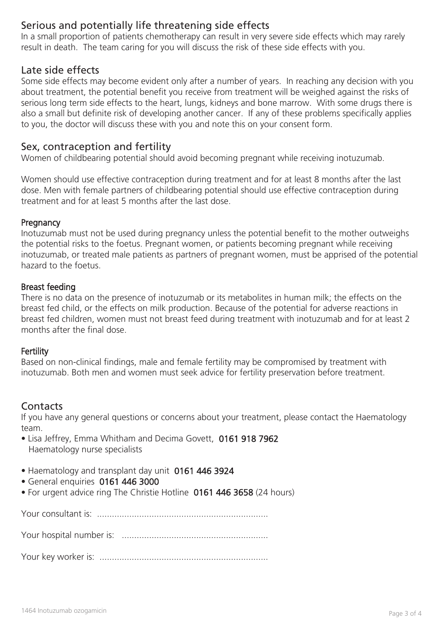## Serious and potentially life threatening side effects

In a small proportion of patients chemotherapy can result in very severe side effects which may rarely result in death. The team caring for you will discuss the risk of these side effects with you.

#### Late side effects

Some side effects may become evident only after a number of years. In reaching any decision with you about treatment, the potential benefit you receive from treatment will be weighed against the risks of serious long term side effects to the heart, lungs, kidneys and bone marrow. With some drugs there is also a small but definite risk of developing another cancer. If any of these problems specifically applies to you, the doctor will discuss these with you and note this on your consent form.

#### Sex, contraception and fertility

Women of childbearing potential should avoid becoming pregnant while receiving inotuzumab.

Women should use effective contraception during treatment and for at least 8 months after the last dose. Men with female partners of childbearing potential should use effective contraception during treatment and for at least 5 months after the last dose.

#### **Pregnancy**

Inotuzumab must not be used during pregnancy unless the potential benefit to the mother outweighs the potential risks to the foetus. Pregnant women, or patients becoming pregnant while receiving inotuzumab, or treated male patients as partners of pregnant women, must be apprised of the potential hazard to the foetus.

#### Breast feeding

There is no data on the presence of inotuzumab or its metabolites in human milk; the effects on the breast fed child, or the effects on milk production. Because of the potential for adverse reactions in breast fed children, women must not breast feed during treatment with inotuzumab and for at least 2 months after the final dose.

#### **Fertility**

Based on non-clinical findings, male and female fertility may be compromised by treatment with inotuzumab. Both men and women must seek advice for fertility preservation before treatment.

#### **Contacts**

If you have any general questions or concerns about your treatment, please contact the Haematology team.

- Lisa Jeffrey, Emma Whitham and Decima Govett, 0161 918 7962 Haematology nurse specialists
- Haematology and transplant day unit 0161 446 3924
- General enquiries 0161 446 3000
- For urgent advice ring The Christie Hotline 0161 446 3658 (24 hours)

Your consultant is: .....................................................................

Your hospital number is: ...........................................................

Your key worker is: ....................................................................